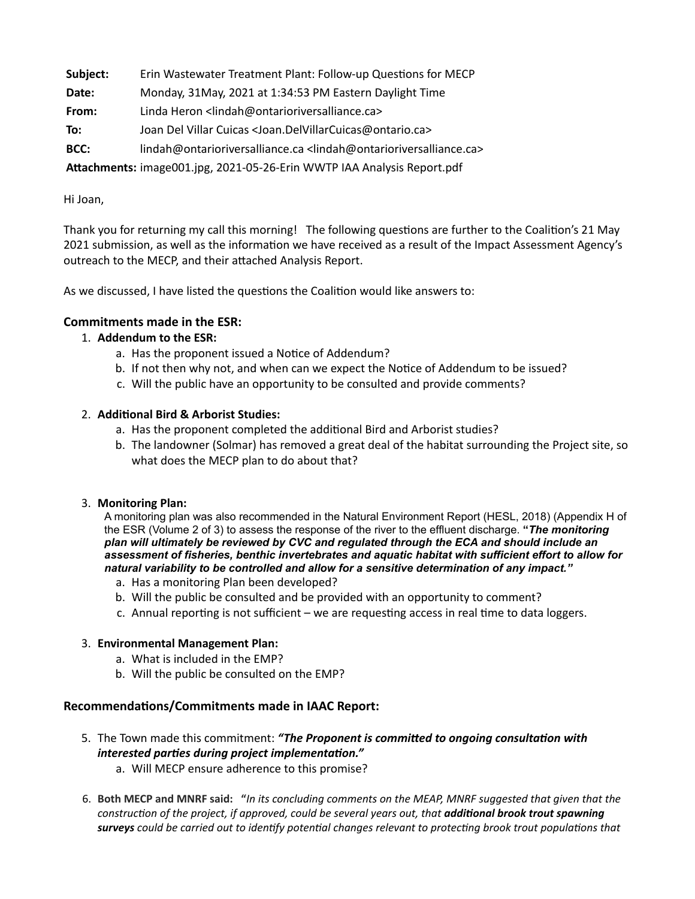**Subject:** Erin Wastewater Treatment Plant: Follow-up Questions for MECP

- **Date:** Monday, 31May, 2021 at 1:34:53 PM Eastern Daylight Time
- **From:** Linda Heron <lindah@ontarioriversalliance.ca>
- **To:** Joan Del Villar Cuicas <Joan.DelVillarCuicas@ontario.ca>
- **BCC:** lindah@ontarioriversalliance.ca <lindah@ontarioriversalliance.ca>

Attachments: image001.jpg, 2021-05-26-Erin WWTP IAA Analysis Report.pdf

### Hi Joan,

Thank you for returning my call this morning! The following questions are further to the Coalition's 21 May 2021 submission, as well as the information we have received as a result of the Impact Assessment Agency's outreach to the MECP, and their attached Analysis Report.

As we discussed, I have listed the questions the Coalition would like answers to:

## **Commitments made in the ESR:**

## 1. **Addendum to the ESR:**

- a. Has the proponent issued a Notice of Addendum?
- b. If not then why not, and when can we expect the Notice of Addendum to be issued?
- c. Will the public have an opportunity to be consulted and provide comments?

## 2. **Additional Bird & Arborist Studies:**

- a. Has the proponent completed the additional Bird and Arborist studies?
- b. The landowner (Solmar) has removed a great deal of the habitat surrounding the Project site, so what does the MECP plan to do about that?

### 3. **Monitoring Plan:**

A monitoring plan was also recommended in the Natural Environment Report (HESL, 2018) (Appendix H of the ESR (Volume 2 of 3) to assess the response of the river to the effluent discharge. **"***The monitoring plan will ultimately be reviewed by CVC and regulated through the ECA and should include an assessment of fisheries, benthic invertebrates and aquatic habitat with sufficient effort to allow for natural variability to be controlled and allow for a sensitive determination of any impact."* 

- a. Has a monitoring Plan been developed?
- b. Will the public be consulted and be provided with an opportunity to comment?
- c. Annual reporting is not sufficient we are requesting access in real time to data loggers.

### 3. **Environmental Management Plan:**

- a. What is included in the EMP?
- b. Will the public be consulted on the EMP?

# **Recommendations/Commitments made in IAAC Report:**

- 5. The Town made this commitment: "The Proponent is committed to ongoing consultation with *interested parties during project implementation."* 
	- a. Will MECP ensure adherence to this promise?
- 6. Both MECP and MNRF said: "In its concluding comments on the MEAP, MNRF suggested that given that the *construction of the project, if approved, could be several years out, that additional brook trout spawning surveys* could be carried out to identify potential changes relevant to protecting brook trout populations that